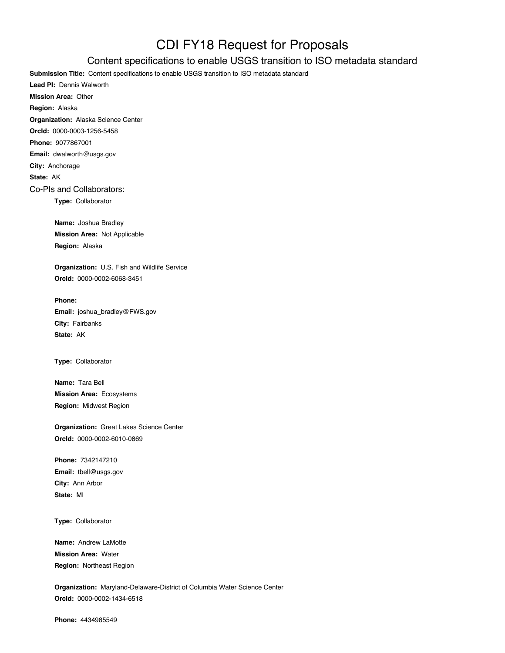## CDI FY18 Request for Proposals

## Content specifications to enable USGS transition to ISO metadata standard

**Submission Title:** Content specifications to enable USGS transition to ISO metadata standard

**Lead PI:** Dennis Walworth **Mission Area:** Other **Region:** Alaska **Organization:** Alaska Science Center **OrcId:** 0000-0003-1256-5458 **Phone:** 9077867001 **Email:** dwalworth@usgs.gov **City:** Anchorage **State:** AK Co-PIs and Collaborators: **Type:** Collaborator

> **Name:** Joshua Bradley **Mission Area:** Not Applicable **Region:** Alaska

**Organization:** U.S. Fish and Wildlife Service **OrcId:** 0000-0002-6068-3451

**Phone: Email:** joshua\_bradley@FWS.gov **City:** Fairbanks **State:** AK

**Type:** Collaborator

**Name:** Tara Bell **Mission Area:** Ecosystems **Region:** Midwest Region

**Organization:** Great Lakes Science Center **OrcId:** 0000-0002-6010-0869

**Phone:** 7342147210 **Email:** tbell@usgs.gov **City:** Ann Arbor **State:** MI

**Type:** Collaborator

**Name:** Andrew LaMotte **Mission Area:** Water **Region:** Northeast Region

**Organization:** Maryland-Delaware-District of Columbia Water Science Center **OrcId:** 0000-0002-1434-6518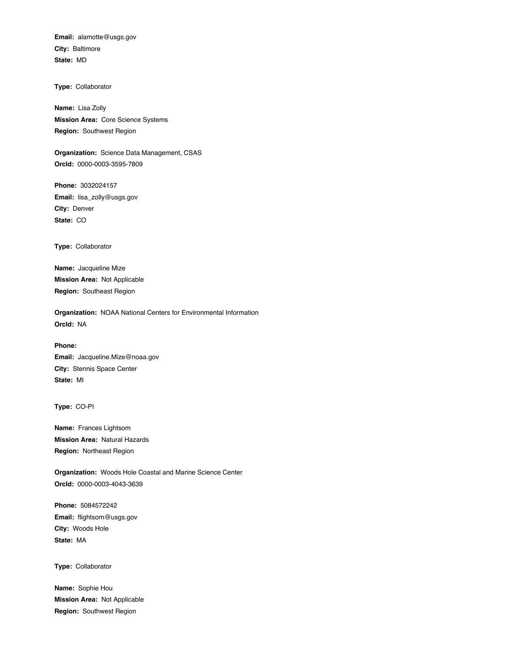**Email:** alamotte@usgs.gov **City:** Baltimore **State:** MD

**Type:** Collaborator

**Name:** Lisa Zolly **Mission Area:** Core Science Systems **Region:** Southwest Region

**Organization:** Science Data Management, CSAS **OrcId:** 0000-0003-3595-7809

**Phone:** 3032024157 **Email:** lisa\_zolly@usgs.gov **City:** Denver **State:** CO

**Type:** Collaborator

**Name:** Jacqueline Mize **Mission Area:** Not Applicable **Region:** Southeast Region

**Organization:** NOAA National Centers for Environmental Information **OrcId:** NA

**Phone: Email:** Jacqueline.Mize@noaa.gov **City:** Stennis Space Center **State:** MI

**Type:** CO-PI

**Name:** Frances Lightsom **Mission Area:** Natural Hazards **Region:** Northeast Region

**Organization:** Woods Hole Coastal and Marine Science Center **OrcId:** 0000-0003-4043-3639

**Phone:** 5084572242 **Email:** flightsom@usgs.gov **City:** Woods Hole **State:** MA

**Type:** Collaborator

**Name:** Sophie Hou **Mission Area:** Not Applicable **Region:** Southwest Region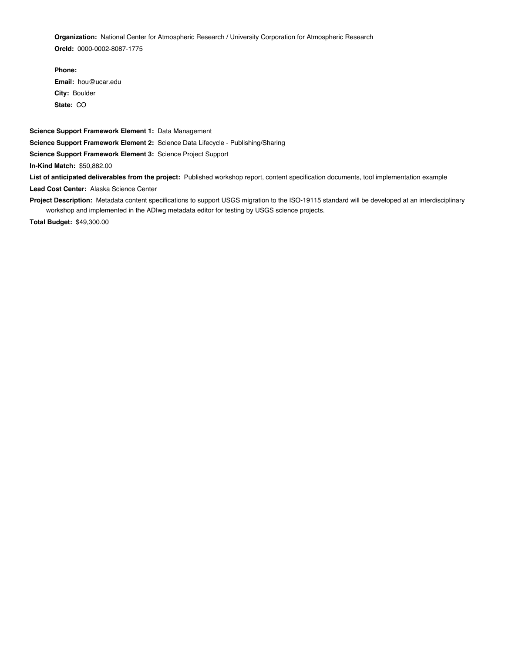**Organization:** National Center for Atmospheric Research / University Corporation for Atmospheric Research **OrcId:** 0000-0002-8087-1775

**Phone: Email:** hou@ucar.edu **City:** Boulder **State:** CO

**Science Support Framework Element 1:** Data Management **Science Support Framework Element 2:** Science Data Lifecycle - Publishing/Sharing **Science Support Framework Element 3:** Science Project Support **In-Kind Match:** \$50,882.00

**List of anticipated deliverables from the project:** Published workshop report, content specification documents, tool implementation example **Lead Cost Center:** Alaska Science Center

**Project Description:** Metadata content specifications to support USGS migration to the ISO-19115 standard will be developed at an interdisciplinary workshop and implemented in the ADIwg metadata editor for testing by USGS science projects.

**Total Budget:** \$49,300.00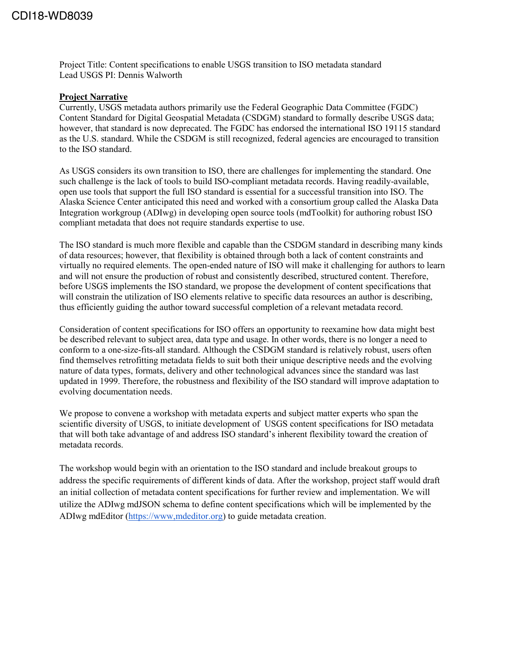Project Title: Content specifications to enable USGS transition to ISO metadata standard Lead USGS PI: Dennis Walworth

## **Project Narrative**

Currently, USGS metadata authors primarily use the Federal Geographic Data Committee (FGDC) Content Standard for Digital Geospatial Metadata (CSDGM) standard to formally describe USGS data; however, that standard is now deprecated. The FGDC has endorsed the international ISO 19115 standard as the U.S. standard. While the CSDGM is still recognized, federal agencies are encouraged to transition to the ISO standard.

As USGS considers its own transition to ISO, there are challenges for implementing the standard. One such challenge is the lack of tools to build ISO-compliant metadata records. Having readily-available, open use tools that support the full ISO standard is essential for a successful transition into ISO. The Alaska Science Center anticipated this need and worked with a consortium group called the Alaska Data Integration workgroup (ADIwg) in developing open source tools (mdToolkit) for authoring robust ISO compliant metadata that does not require standards expertise to use.

The ISO standard is much more flexible and capable than the CSDGM standard in describing many kinds of data resources; however, that flexibility is obtained through both a lack of content constraints and virtually no required elements. The open-ended nature of ISO will make it challenging for authors to learn and will not ensure the production of robust and consistently described, structured content. Therefore, before USGS implements the ISO standard, we propose the development of content specifications that will constrain the utilization of ISO elements relative to specific data resources an author is describing, thus efficiently guiding the author toward successful completion of a relevant metadata record.

Consideration of content specifications for ISO offers an opportunity to reexamine how data might best be described relevant to subject area, data type and usage. In other words, there is no longer a need to conform to a one-size-fits-all standard. Although the CSDGM standard is relatively robust, users often find themselves retrofitting metadata fields to suit both their unique descriptive needs and the evolving nature of data types, formats, delivery and other technological advances since the standard was last updated in 1999. Therefore, the robustness and flexibility of the ISO standard will improve adaptation to evolving documentation needs.

We propose to convene a workshop with metadata experts and subject matter experts who span the scientific diversity of USGS, to initiate development of USGS content specifications for ISO metadata that will both take advantage of and address ISO standard's inherent flexibility toward the creation of metadata records.

The workshop would begin with an orientation to the ISO standard and include breakout groups to address the specific requirements of different kinds of data. After the workshop, project staff would draft an initial collection of metadata content specifications for further review and implementation. We will utilize the ADIwg mdJSON schema to define content specifications which will be implemented by the ADIwg mdEditor [\(https://www,mdeditor.org\)](about:blank) to guide metadata creation.